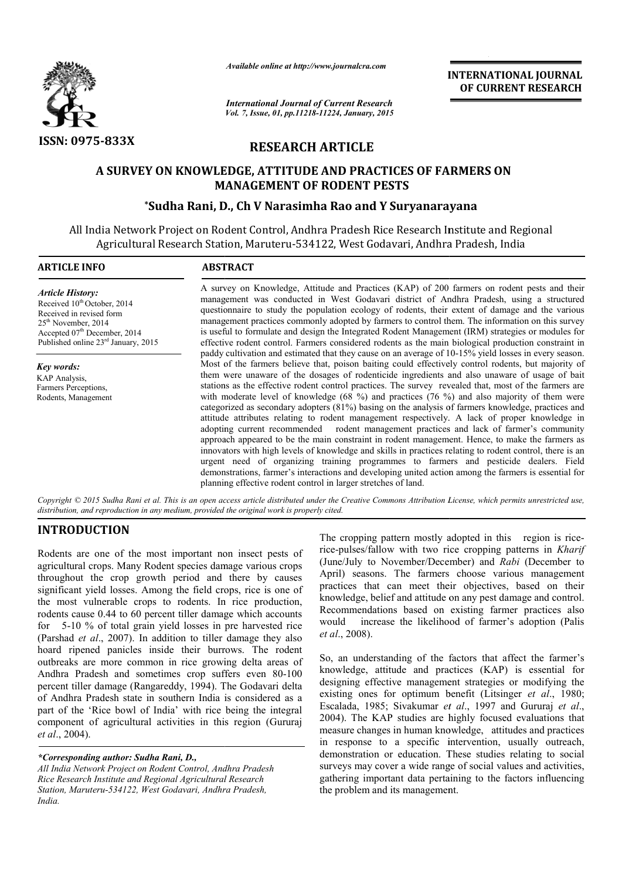

*Available online at http://www.journalcra.com*

*International Journal of Current Research Vol. 7, Issue, 01, pp.11218-11224, January, 2015* **INTERNATIONAL INTERNATIONAL JOURNAL OF CURRENT RESEARCH** 

# **RESEARCH ARTICLE**

# **A SURVEY ON KNOWLEDGE, ATTITUDE AND PRACTICES OF FARMERS ON MANAGEMENT OF RODENT PESTS**

# **\*Sudha Rani, D D., Ch V Narasimha Rao and Y Suryanarayana**

All India Network Project on Rodent Control, Andhra Pradesh Rice Research Institute and Regional Agricultural Research Station, Maruteru-534122, West Godavari, Andhra Pradesh, India

#### **ARTICLE INFO ABSTRACT**

*Article History:* Received  $10^{th}$ October, 2014 Received in revised form 25th November, 2014 Accepted 07<sup>th</sup> December, 2014 Published online 23rd January, 2015

*Key words:* KAP Analysis, Farmers Perceptions. Rodents, Management

A survey on Knowledge, Attitude and Practices (KAP) of 200 farmers on rodent pests and their management was conducted in West Godavari district of Andhra Pradesh, using a structured A survey on Knowledge, Attitude and Practices (KAP) of 200 farmers on rodent pests and their management was conducted in West Godavari district of Andhra Pradesh, using a structured questionnaire to study the population ec management practices commonly adopted by farmers to control them. The information on this survey management practices commonly adopted by farmers to control them. The information on this survey<br>is useful to formulate and design the Integrated Rodent Management (IRM) strategies or modules for effective rodent control. Farmers considered rodents as the main biological production constraint in effective rodent control. Farmers considered rodents as the main biological production constraint in paddy cultivation and estimated that they cause on an average of 10-15% yield losses in every season. Most of the farmers believe that, poison baiting could effectively control rodents, but majority of them were unaware of the dosages of rodenticide ingredients and also unaware of usage of bait stations as the effective rodent control practices. The survey revealed that, most of the farmers are with moderate level of knowledge  $(68\%)$  and practices  $(76\%)$  and also majority of them were categorized as secondary adopters (81%) basing on the analysis of farmers knowledge, practices and attitude attributes relating to rodent management respectively. A lack of proper knowledge in adopting current recommended rodent management practices and lack of farmer's community approach appeared to be the main constraint in rodent management. Hence, to make the farmers as innovators with high levels of knowledge and skills in practices relating to rodent control, there is urgent need of organizing training programmes to farmers and pesticide dealers. Field demonstrations, farmer's interactions and developing united action among the farmers is essential for planning effective rodent control in larger stretches of land. oison baiting could effectively control rodents, but majority of of rodenticide ingredients and also unaware of usage of bait ol practices. The survey revealed that, most of the farmers are (68 %) and practices (76 %) and  $(81\%)$  basing on the analysis of farmers knowledge, practices and<br>ent management respectively. A lack of proper knowledge in<br>rodent management practices and lack of farmer's community<br>constraint in rodent management. Hen INTERNATIONAL JOURNAL<br>
Trent Research **OF CURRENT RESEARCH**<br>
Trent Research **CF**<br>
ID PRACTICES OF FARMERS ON<br>
ID DENT PESTS<br>
ID DENT PESTS<br>
ID DENT PESTS<br>
ID DENT PESTS<br>
CF (LOGE RESEARCH INSTERTS)<br>
AND ASSE COGRAFIT, And

*Copyright © 2015 Sudha Rani et al. This is an open access article distributed under the Creative Commons Att Attribution License, which ribution permits unrestricted use, distribution, and reproduction in any medium, provided the original work is properly cited.*

# **INTRODUCTION**

Rodents are one of the most important non insect pests of agricultural crops. Many Rodent species damage various crops throughout the crop growth period and there by causes significant yield losses. Among the field crops, rice is one of the most vulnerable crops to rodents. In rice production, rodents cause 0.44 to 60 percent tiller damage which accounts for 5-10 % of total grain yield losses in pre harvested rice (Parshad *et al*., 2007). In addition to tiller damage they also hoard ripened panicles inside their burrows. The rodent outbreaks are more common in rice growing delta areas of Andhra Pradesh and sometimes crop suffers even 80-100 percent tiller damage (Rangareddy, 1994). The Godavari delta of Andhra Pradesh state in southern India is considered as a part of the 'Rice bowl of India' with rice being the integral component of agricultural activities in this region (Gururaj *et al*., 2004). **Example 12**<br> **For the most important non insect pests of** the cropping pattern mostly adopted in this region is rice.<br>
In Kharn Rodent species damage various crops (June/July to November/December) and *Rabi* (December t<br>

*\*Corresponding author: Sudha Rani, D.,* 

*All India Network Project on Rodent Control, Andhra Pradesh Rice Research Institute and Regional Agricultural Research Station, Maruteru-534122, West Godavari, Andhra Pradesh, India.*

rice-pulses/fallow with two rice cropping patterns in *Kharif* (June/July to November/December) and *Rabi* (December to April) seasons. The farmers choose various management practices that can meet their objectives, based on their knowledge, belief and attitude on any pest damage and control. Recommendations based on existing farmer practices also would increase the likelihood of farmer's adoption (Palis *et al*., 2008). The cropping pattern mostly adopted in this region is rice-In the farmers choose various management<br>t can meet their objectives, based on their<br>elief and attitude on any pest damage and control.<br>tions based on existing farmer practices also<br>ease the likelihood of farmer's adoption

So, an understanding of the factors that affect the farmer's knowledge, attitude and practices (KAP) is essential for designing effective management strategies or modifying the existing ones for optimum benefit (Litsinger *et al.*, 1980; Escalada, 1985; Sivakumar *et al.*, 1997 and Gururaj *et al.*, 2004). The KAP studies are highly focused evaluations that measure changes in human knowledge, attitudes and practices in response to a specific intervention, usually outreach. demonstration or education. These studies relating to social surveys may cover a wide range of social values and activities, gathering important data pertaining to the factors influencing the problem and its management. fractive and practices (KAP) is essential for effective management strategies or modifying the nes for optimum benefit (Litsinger *et al.*, 1980; 2004). The KAP studies are highly focused evaluations that measure changes in human knowledge, attitudes and practices in response to a specific intervention, usually outreach,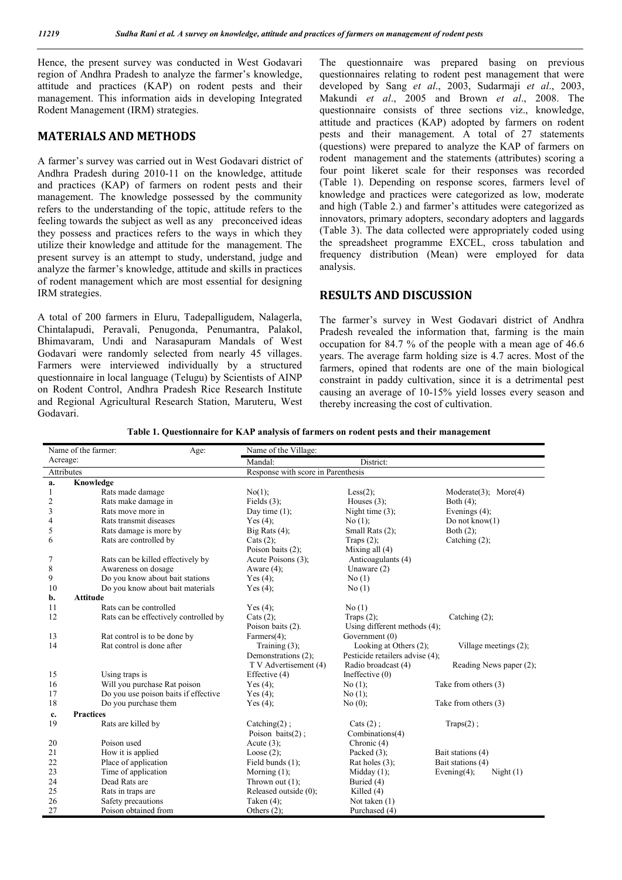Hence, the present survey was conducted in West Godavari region of Andhra Pradesh to analyze the farmer's knowledge, attitude and practices (KAP) on rodent pests and their management. This information aids in developing Integrated Rodent Management (IRM) strategies.

# **MATERIALS AND METHODS**

A farmer's survey was carried out in West Godavari district of Andhra Pradesh during 2010-11 on the knowledge, attitude and practices (KAP) of farmers on rodent pests and their management. The knowledge possessed by the community refers to the understanding of the topic, attitude refers to the feeling towards the subject as well as any preconceived ideas they possess and practices refers to the ways in which they utilize their knowledge and attitude for the management. The present survey is an attempt to study, understand, judge and analyze the farmer's knowledge, attitude and skills in practices of rodent management which are most essential for designing IRM strategies.

A total of 200 farmers in Eluru, Tadepalligudem, Nalagerla, Chintalapudi, Peravali, Penugonda, Penumantra, Palakol, Bhimavaram, Undi and Narasapuram Mandals of West Godavari were randomly selected from nearly 45 villages. Farmers were interviewed individually by a structured questionnaire in local language (Telugu) by Scientists of AINP on Rodent Control, Andhra Pradesh Rice Research Institute and Regional Agricultural Research Station, Maruteru, West Godavari.

The questionnaire was prepared basing on previous questionnaires relating to rodent pest management that were developed by Sang *et al*., 2003, Sudarmaji *et al*., 2003, Makundi *et al*., 2005 and Brown *et al*., 2008. The questionnaire consists of three sections viz., knowledge, attitude and practices (KAP) adopted by farmers on rodent pests and their management. A total of 27 statements (questions) were prepared to analyze the KAP of farmers on rodent management and the statements (attributes) scoring a four point likeret scale for their responses was recorded (Table 1). Depending on response scores, farmers level of knowledge and practices were categorized as low, moderate and high (Table 2.) and farmer's attitudes were categorized as innovators, primary adopters, secondary adopters and laggards (Table 3). The data collected were appropriately coded using the spreadsheet programme EXCEL, cross tabulation and frequency distribution (Mean) were employed for data analysis.

## **RESULTS AND DISCUSSION**

The farmer's survey in West Godavari district of Andhra Pradesh revealed the information that, farming is the main occupation for 84.7 % of the people with a mean age of 46.6 years. The average farm holding size is 4.7 acres. Most of the farmers, opined that rodents are one of the main biological constraint in paddy cultivation, since it is a detrimental pest causing an average of 10-15% yield losses every season and thereby increasing the cost of cultivation.

|  |  |  | Table 1. Questionnaire for KAP analysis of farmers on rodent pests and their management |
|--|--|--|-----------------------------------------------------------------------------------------|
|  |  |  |                                                                                         |

|            | Name of the farmer:<br>Age:           | Name of the Village:               |                                 |                                |
|------------|---------------------------------------|------------------------------------|---------------------------------|--------------------------------|
| Acreage:   |                                       | Mandal:                            | District:                       |                                |
| Attributes |                                       | Response with score in Parenthesis |                                 |                                |
| a.         | Knowledge                             |                                    |                                 |                                |
| 1          | Rats made damage                      | No(1);                             | Less $(2)$ ;                    | $Modelate(3)$ ; $More(4)$      |
| 2          | Rats make damage in                   | Fields $(3)$ ;                     | Houses $(3)$ ;                  | Both $(4)$ :                   |
| 3          | Rats move more in                     | Day time $(1)$ ;                   | Night time $(3)$ ;              | Evenings $(4)$ ;               |
| 4          | Rats transmit diseases                | Yes $(4)$ :                        | $No(1)$ ;                       | Do not know $(1)$              |
| 5          | Rats damage is more by                | Big Rats $(4)$ ;                   | Small Rats (2);                 | Both $(2)$ ;                   |
| 6          | Rats are controlled by                | Cats $(2)$ ;                       | Traps $(2)$ ;                   | Catching $(2)$ ;               |
|            |                                       | Poison baits $(2)$ ;               | Mixing all $(4)$                |                                |
| 7          | Rats can be killed effectively by     | Acute Poisons (3);                 | Anticoagulants (4)              |                                |
| $\,$ $\,$  | Awareness on dosage                   | Aware $(4)$ ;                      | Unaware $(2)$                   |                                |
| 9          | Do you know about bait stations       | Yes $(4)$ ;                        | No(1)                           |                                |
| 10         | Do you know about bait materials      | Yes $(4)$ ;                        | No(1)                           |                                |
| b.         | <b>Attitude</b>                       |                                    |                                 |                                |
| 11         | Rats can be controlled                | Yes $(4)$ ;                        | No(1)                           |                                |
| 12         | Rats can be effectively controlled by | Cats $(2)$ ;                       | Traps $(2)$ ;                   | Catching $(2)$ ;               |
|            |                                       | Poison baits (2).                  | Using different methods (4);    |                                |
| 13         | Rat control is to be done by          | Farmers $(4)$ ;                    | Government (0)                  |                                |
| 14         | Rat control is done after             | Training $(3)$ ;                   | Looking at Others (2);          | Village meetings $(2)$ ;       |
|            |                                       | Demonstrations (2);                | Pesticide retailers advise (4); |                                |
|            |                                       | T V Advertisement (4)              | Radio broadcast (4)             | Reading News paper (2);        |
| 15         | Using traps is                        | Effective (4)                      | Ineffective $(0)$               |                                |
| 16         | Will you purchase Rat poison          | Yes $(4)$ ;                        | No(1);                          | Take from others (3)           |
| 17         | Do you use poison baits if effective  | Yes $(4)$ ;                        | No(1);                          |                                |
| 18         | Do you purchase them                  | Yes $(4)$ ;                        | No(0);                          | Take from others (3)           |
| c.         | <b>Practices</b>                      |                                    |                                 |                                |
| 19         | Rats are killed by                    | Catching $(2)$ ;                   | Cats $(2)$ ;                    | $Traps(2)$ ;                   |
|            |                                       | Poison baits $(2)$ ;               | Combinations(4)                 |                                |
| 20         | Poison used                           | Acute $(3)$ :                      | Chronic (4)                     |                                |
| 21         | How it is applied                     | Loose $(2)$ ;                      | Packed $(3)$ ;                  | Bait stations (4)              |
| 22         | Place of application                  | Field bunds $(1)$ ;                | Rat holes $(3)$ ;               | Bait stations (4)              |
| 23         | Time of application                   | Morning $(1)$ ;                    | Midday $(1)$ ;                  | Evening $(4)$ ;<br>Night $(1)$ |
| 24         | Dead Rats are                         | Thrown out $(1)$ ;                 | Buried (4)                      |                                |
| 25         | Rats in traps are                     | Released outside (0);              | Killed $(4)$                    |                                |
| 26         | Safety precautions                    | Taken $(4)$ ;                      | Not taken $(1)$                 |                                |
| 27         | Poison obtained from                  | Others $(2)$ ;                     | Purchased (4)                   |                                |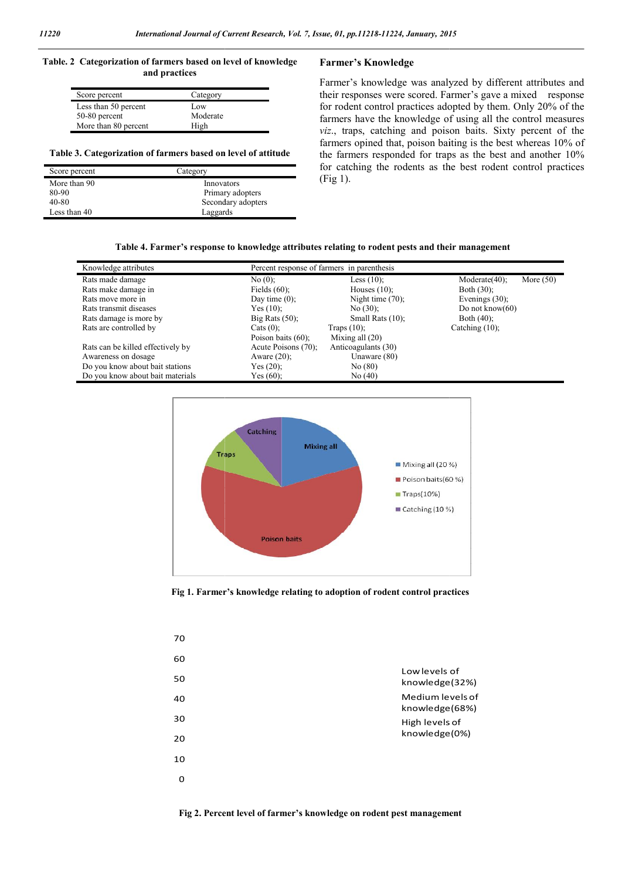#### **Table. 2 Categorization of farmers based on level of knowledge and practices**

| Score percent        |          |  |
|----------------------|----------|--|
|                      | Category |  |
| Less than 50 percent | Low      |  |
| 50-80 percent        | Moderate |  |
| More than 80 percent | High     |  |

#### **Table 3. Categorization of farmers based on level of attitude**

| Score percent | Category           |
|---------------|--------------------|
| More than 90  | Innovators         |
| 80-90         | Primary adopters   |
| 40-80         | Secondary adopters |
| Less than 40  | Laggards           |

## **Farmer's Knowledge**

Farmer's knowledge was analyzed by different attributes and Farmer's knowledge was analyzed by different attributes and their responses were scored. Farmer's gave a mixed response for rodent control practices adopted by them. Only 20% of the farmers have the knowledge of using all the control measures viz., traps, catching and poison baits. Sixty percent of the farmers opined that, poison baiting is the best whereas 10% of the farmers responded for traps as the best and another 10% for catching the rodents as the best rodent control practices (Fig 1). red that, poison baiting is the best whereas 10% responded for traps as the best and another 10 the rodents as the best rodent control practic

#### **Table 4. Farmer's response to knowledge attributes relating to rodent pests and their management knowledge rodent pests and**

| Knowledge attributes              | Percent response of farmers in parenthesis |                     |                                  |  |
|-----------------------------------|--------------------------------------------|---------------------|----------------------------------|--|
| Rats made damage                  | No(0):                                     | Less $(10)$ ;       | Moderate $(40)$ :<br>More $(50)$ |  |
| Rats make damage in               | Fields $(60)$ ;                            | Houses $(10)$ ;     | Both $(30)$ :                    |  |
| Rats move more in                 | Day time $(0)$ ;                           | Night time $(70)$ ; | Evenings $(30)$ ;                |  |
| Rats transmit diseases            | Yes $(10)$ ;                               | No $(30)$ ;         | Do not know $(60)$               |  |
| Rats damage is more by            | Big Rats $(50)$ ;                          | Small Rats $(10)$ ; | Both $(40)$ ;                    |  |
| Rats are controlled by            | Cats $(0)$ :                               | Traps $(10)$ ;      | Catching $(10)$ ;                |  |
|                                   | Poison baits $(60)$ ;                      | Mixing all $(20)$   |                                  |  |
| Rats can be killed effectively by | Acute Poisons (70);                        | Anticoagulants (30) |                                  |  |
| Awareness on dosage               | Aware $(20)$ ;                             | Unaware (80)        |                                  |  |
| Do you know about bait stations   | Yes $(20)$ ;                               | No(80)              |                                  |  |
| Do you know about bait materials  | Yes $(60)$ ;                               | No(40)              |                                  |  |
|                                   |                                            |                     |                                  |  |



**Fig 1. Farmer's knowledge relating to adoption of rodent control practices**

| 70       |                                    |
|----------|------------------------------------|
| 60       |                                    |
| 50       | Low levels of<br>knowledge(32%)    |
| 40       | Medium levels of<br>knowledge(68%) |
| 30       | High levels of                     |
| 20       | knowledge(0%)                      |
| 10       |                                    |
| $\Omega$ |                                    |
|          |                                    |

**Fig 2. Percent level of farmer's knowledge on rodent pest management**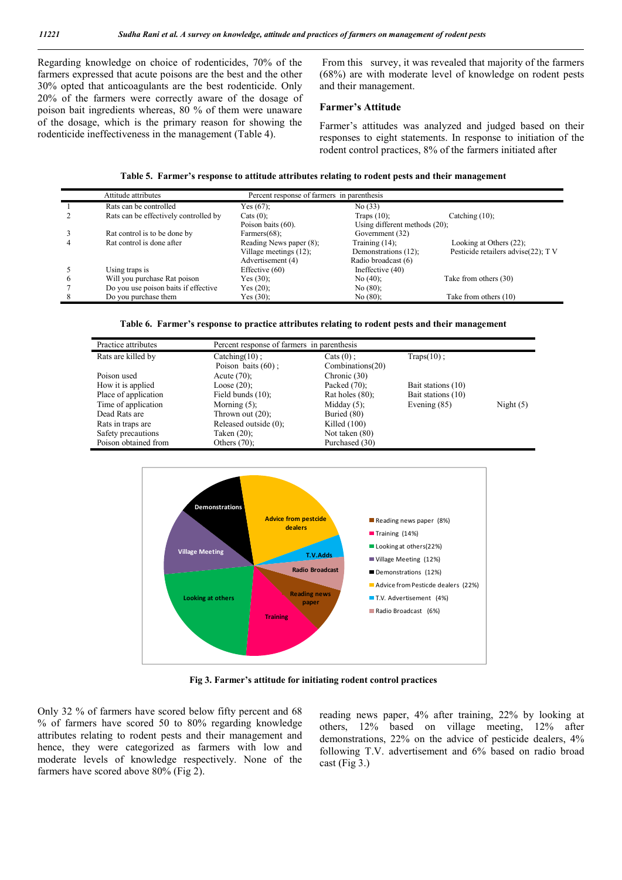Regarding knowledge on choice of rodenticides, 70% of the farmers expressed that acute poisons are the best and the other 30% opted that anticoagulants are the best rodenticide. Only 20% of the farmers were correctly aware of the dosage of poison bait ingredients whereas, 80 % of them were unaware of the dosage, which is the primary reason for showing the rodenticide ineffectiveness in the management (Table 4).

From this survey, it was revealed that majority of the farmers (68%) are with moderate level of knowledge on rodent pests and their management.

#### **Farmer's Attitude**

Farmer's attitudes was analyzed and judged based on their responses to eight statements. In response to initiation of the rodent control practices, 8% of the farmers initiated after

| Table 5. Farmer's response to attitude attributes relating to rodent pests and their management |  |
|-------------------------------------------------------------------------------------------------|--|
|-------------------------------------------------------------------------------------------------|--|

|   | Attitude attributes                   | Percent response of farmers in parenthesis |                                  |                                    |
|---|---------------------------------------|--------------------------------------------|----------------------------------|------------------------------------|
|   | Rats can be controlled                | Yes $(67)$ :                               | No(33)                           |                                    |
|   | Rats can be effectively controlled by | Cats $(0)$ :                               | Traps $(10)$ ;                   | Catching $(10)$ ;                  |
|   |                                       | Poison baits (60).                         | Using different methods $(20)$ ; |                                    |
|   | Rat control is to be done by          | Farmers $(68)$ ;                           | Government (32)                  |                                    |
|   | Rat control is done after             | Reading News paper (8);                    | Training $(14)$ ;                | Looking at Others $(22)$ ;         |
|   |                                       | Village meetings $(12)$ ;                  | Demonstrations (12);             | Pesticide retailers advise(22); TV |
|   |                                       | Advertisement (4)                          | Radio broadcast (6)              |                                    |
|   | Using traps is                        | Effective $(60)$                           | Ineffective $(40)$               |                                    |
| 6 | Will you purchase Rat poison          | Yes $(30)$ :                               | No(40);                          | Take from others (30)              |
|   | Do you use poison baits if effective  | Yes $(20)$ ;                               | No(80);                          |                                    |
|   | Do you purchase them                  | Yes $(30)$ ;                               | No(80):                          | Take from others (10)              |

| Table 6. Farmer's response to practice attributes relating to rodent pests and their management |  |  |
|-------------------------------------------------------------------------------------------------|--|--|
|                                                                                                 |  |  |

| Practice attributes  | Percent response of farmers in parenthesis |                    |                    |             |
|----------------------|--------------------------------------------|--------------------|--------------------|-------------|
| Rats are killed by   | Catching $(10)$ ;                          | Cats $(0)$ :       | $Traps(10)$ ;      |             |
|                      | Poison baits $(60)$ ;                      | Combinations(20)   |                    |             |
| Poison used          | Acute $(70)$ ;                             | Chronic (30)       |                    |             |
| How it is applied    | Loose $(20)$ ;                             | Packed $(70)$ :    | Bait stations (10) |             |
| Place of application | Field bunds $(10)$ ;                       | Rat holes $(80)$ : | Bait stations (10) |             |
| Time of application  | Morning $(5)$ ;                            | Midday $(5)$ ;     | Evening $(85)$     | Night $(5)$ |
| Dead Rats are        | Thrown out $(20)$ ;                        | Buried (80)        |                    |             |
| Rats in traps are    | Released outside (0);                      | Killed $(100)$     |                    |             |
| Safety precautions   | Taken (20);                                | Not taken (80)     |                    |             |
| Poison obtained from | Others $(70)$ ;                            | Purchased (30)     |                    |             |



**Fig 3. Farmer's attitude for initiating rodent control practices**

Only 32 % of farmers have scored below fifty percent and 68 % of farmers have scored 50 to 80% regarding knowledge attributes relating to rodent pests and their management and hence, they were categorized as farmers with low and moderate levels of knowledge respectively. None of the farmers have scored above 80% (Fig 2).

reading news paper, 4% after training, 22% by looking at others, 12% based on village meeting, 12% after demonstrations, 22% on the advice of pesticide dealers, 4% following T.V. advertisement and 6% based on radio broad  $cast$  (Fig 3.)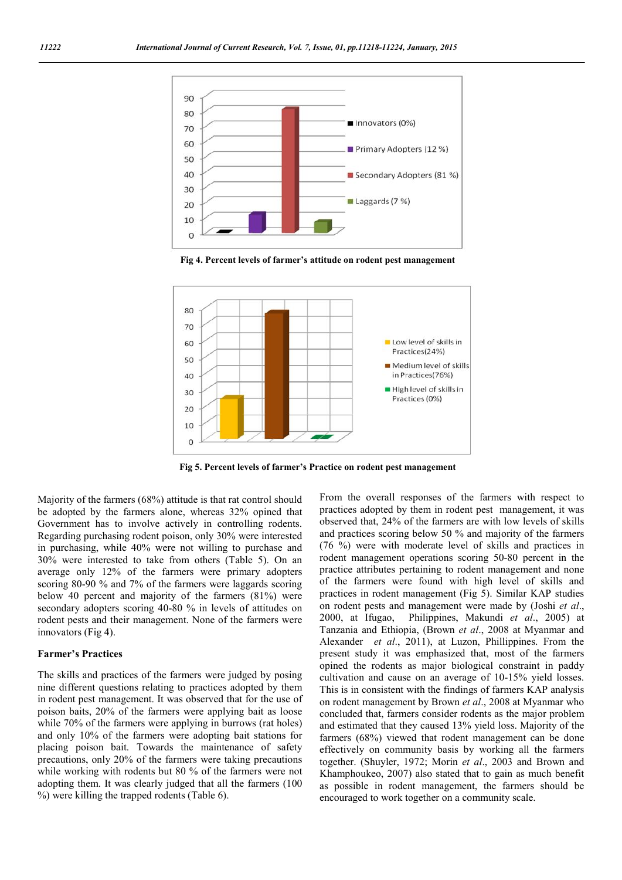

**Fig 4. Percent levels of farmer's attitude on rodent pest management**



**Fig 5. Percent levels of farmer's Practice on rodent pest management**

Majority of the farmers (68%) attitude is that rat control should be adopted by the farmers alone, whereas 32% opined that Government has to involve actively in controlling rodents. Regarding purchasing rodent poison, only 30% were interested in purchasing, while 40% were not willing to purchase and 30% were interested to take from others (Table 5). On an average only 12% of the farmers were primary adopters scoring 80-90 % and 7% of the farmers were laggards scoring below 40 percent and majority of the farmers (81%) were secondary adopters scoring 40-80 % in levels of attitudes on rodent pests and their management. None of the farmers were innovators (Fig 4).

#### **Farmer's Practices**

The skills and practices of the farmers were judged by posing nine different questions relating to practices adopted by them in rodent pest management. It was observed that for the use of poison baits, 20% of the farmers were applying bait as loose while 70% of the farmers were applying in burrows (rat holes) and only 10% of the farmers were adopting bait stations for placing poison bait. Towards the maintenance of safety precautions, only 20% of the farmers were taking precautions while working with rodents but 80 % of the farmers were not adopting them. It was clearly judged that all the farmers (100 %) were killing the trapped rodents (Table 6).

From the overall responses of the farmers with respect to practices adopted by them in rodent pest management, it was observed that, 24% of the farmers are with low levels of skills and practices scoring below 50 % and majority of the farmers (76 %) were with moderate level of skills and practices in rodent management operations scoring 50-80 percent in the practice attributes pertaining to rodent management and none of the farmers were found with high level of skills and practices in rodent management (Fig 5). Similar KAP studies on rodent pests and management were made by (Joshi *et al*., 2000, at Ifugao, Philippines, Makundi *et al*., 2005) at Tanzania and Ethiopia, (Brown *et al*., 2008 at Myanmar and Alexander *et al*., 2011), at Luzon, Phillippines. From the present study it was emphasized that, most of the farmers opined the rodents as major biological constraint in paddy cultivation and cause on an average of 10-15% yield losses. This is in consistent with the findings of farmers KAP analysis on rodent management by Brown *et al*., 2008 at Myanmar who concluded that, farmers consider rodents as the major problem and estimated that they caused 13% yield loss. Majority of the farmers (68%) viewed that rodent management can be done effectively on community basis by working all the farmers together. (Shuyler, 1972; Morin *et al*., 2003 and Brown and Khamphoukeo, 2007) also stated that to gain as much benefit as possible in rodent management, the farmers should be encouraged to work together on a community scale.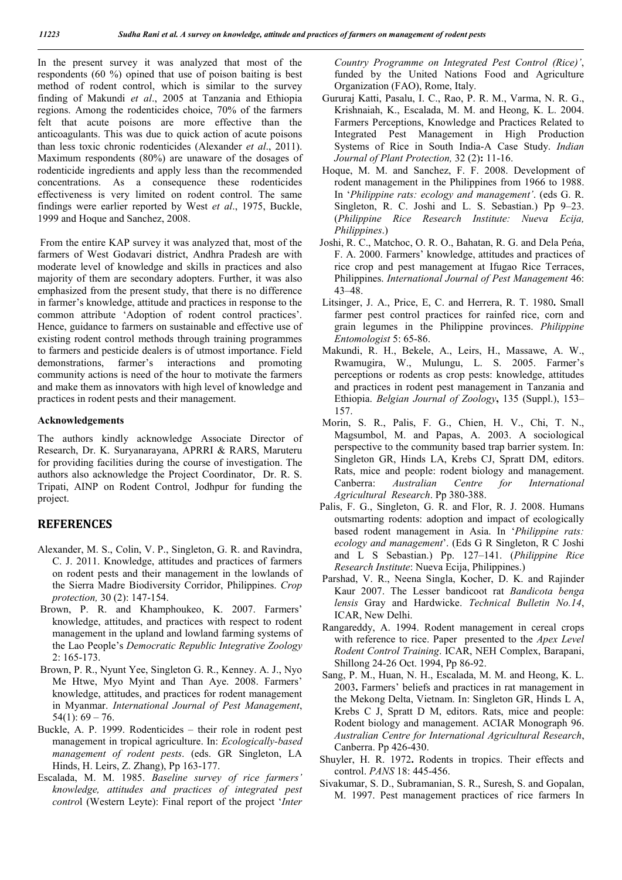In the present survey it was analyzed that most of the respondents (60 %) opined that use of poison baiting is best method of rodent control, which is similar to the survey finding of Makundi *et al*., 2005 at Tanzania and Ethiopia regions. Among the rodenticides choice, 70% of the farmers felt that acute poisons are more effective than the anticoagulants. This was due to quick action of acute poisons than less toxic chronic rodenticides (Alexander *et al*., 2011). Maximum respondents (80%) are unaware of the dosages of rodenticide ingredients and apply less than the recommended concentrations. As a consequence these rodenticides effectiveness is very limited on rodent control. The same findings were earlier reported by West *et al*., 1975, Buckle, 1999 and Hoque and Sanchez, 2008.

From the entire KAP survey it was analyzed that, most of the farmers of West Godavari district, Andhra Pradesh are with moderate level of knowledge and skills in practices and also majority of them are secondary adopters. Further, it was also emphasized from the present study, that there is no difference in farmer's knowledge, attitude and practices in response to the common attribute 'Adoption of rodent control practices'. Hence, guidance to farmers on sustainable and effective use of existing rodent control methods through training programmes to farmers and pesticide dealers is of utmost importance. Field demonstrations, farmer's interactions and promoting community actions is need of the hour to motivate the farmers and make them as innovators with high level of knowledge and practices in rodent pests and their management.

#### **Acknowledgements**

The authors kindly acknowledge Associate Director of Research, Dr. K. Suryanarayana, APRRI & RARS, Maruteru for providing facilities during the course of investigation. The authors also acknowledge the Project Coordinator, Dr. R. S. Tripati, AINP on Rodent Control, Jodhpur for funding the project.

# **REFERENCES**

- Alexander, M. S., Colin, V. P., Singleton, G. R. and Ravindra, C. J. 2011. Knowledge, attitudes and practices of farmers on rodent pests and their management in the lowlands of the Sierra Madre Biodiversity Corridor, Philippines. *Crop protection,* 30 (2): 147-154.
- Brown, P. R. and Khamphoukeo, K. 2007. Farmers' knowledge, attitudes, and practices with respect to rodent management in the upland and lowland farming systems of the Lao People's *Democratic Republic Integrative Zoology* 2: 165-173.
- Brown, P. R., Nyunt Yee, Singleton G. R., Kenney. A. J., Nyo Me Htwe, Myo Myint and Than Aye. 2008. Farmers' knowledge, attitudes, and practices for rodent management in Myanmar. *International Journal of Pest Management*,  $54(1)$ : 69 – 76.
- Buckle, A. P. 1999. Rodenticides their role in rodent pest management in tropical agriculture. In: *Ecologically-based management of rodent pests*. (eds. GR Singleton, LA Hinds, H. Leirs, Z. Zhang), Pp 163-177.
- Escalada, M. M. 1985. *Baseline survey of rice farmers' knowledge, attitudes and practices of integrated pest contro*l (Western Leyte): Final report of the project '*Inter*

*Country Programme on Integrated Pest Control (Rice)'*, funded by the United Nations Food and Agriculture Organization (FAO), Rome, Italy.

- Gururaj Katti, Pasalu, I. C., Rao, P. R. M., Varma, N. R. G., Krishnaiah, K., Escalada, M. M. and Heong, K. L. 2004. Farmers Perceptions, Knowledge and Practices Related to Integrated Pest Management in High Production Systems of Rice in South India-A Case Study. *Indian Journal of Plant Protection,* 32 (2)**:** 11-16.
- Hoque, M. M. and Sanchez, F. F. 2008. Development of rodent management in the Philippines from 1966 to 1988. In '*Philippine rats: ecology and management'*. (eds G. R. Singleton, R. C. Joshi and L. S. Sebastian.) Pp 9–23. (*Philippine Rice Research Institute: Nueva Ecija, Philippines*.)
- Joshi, R. C., Matchoc, O. R. O., Bahatan, R. G. and Dela Peńa, F. A. 2000. Farmers' knowledge, attitudes and practices of rice crop and pest management at Ifugao Rice Terraces, Philippines. *International Journal of Pest Management* 46: 43–48.
- Litsinger, J. A., Price, E, C. and Herrera, R. T. 1980**.** Small farmer pest control practices for rainfed rice, corn and grain legumes in the Philippine provinces. *Philippine Entomologist* 5: 65-86.
- Makundi, R. H., Bekele, A., Leirs, H., Massawe, A. W., Rwamugira, W., Mulungu, L. S. 2005. Farmer's perceptions or rodents as crop pests: knowledge, attitudes and practices in rodent pest management in Tanzania and Ethiopia. *Belgian Journal of Zoology***,** 135 (Suppl.), 153– 157.
- Morin, S. R., Palis, F. G., Chien, H. V., Chi, T. N., Magsumbol, M. and Papas, A. 2003. A sociological perspective to the community based trap barrier system. In: Singleton GR, Hinds LA, Krebs CJ, Spratt DM, editors. Rats, mice and people: rodent biology and management. Canberra: *Australian Centre for International Agricultural Research*. Pp 380-388.
- Palis, F. G., Singleton, G. R. and Flor, R. J. 2008. Humans outsmarting rodents: adoption and impact of ecologically based rodent management in Asia. In '*Philippine rats: ecology and management*'. (Eds G R Singleton, R C Joshi and L S Sebastian.) Pp. 127–141. (*Philippine Rice Research Institute*: Nueva Ecija, Philippines.)
- Parshad, V. R., Neena Singla, Kocher, D. K. and Rajinder Kaur 2007. The Lesser bandicoot rat *Bandicota benga* *lensis* Gray and Hardwicke. *Technical Bulletin No.14*, ICAR, New Delhi.
- Rangareddy, A. 1994. Rodent management in cereal crops with reference to rice. Paper presented to the *Apex Level Rodent Control Training*. ICAR, NEH Complex, Barapani, Shillong 24-26 Oct. 1994, Pp 86-92.
- Sang, P. M., Huan, N. H., Escalada, M. M. and Heong, K. L. 2003**.** Farmers' beliefs and practices in rat management in the Mekong Delta, Vietnam. In: Singleton GR, Hinds L A, Krebs C J, Spratt D M, editors. Rats, mice and people: Rodent biology and management. ACIAR Monograph 96. *Australian Centre for International Agricultural Research*, Canberra. Pp 426-430.
- Shuyler, H. R. 1972**.** Rodents in tropics. Their effects and control. *PANS* 18: 445-456.
- Sivakumar, S. D., Subramanian, S. R., Suresh, S. and Gopalan, M. 1997. Pest management practices of rice farmers In